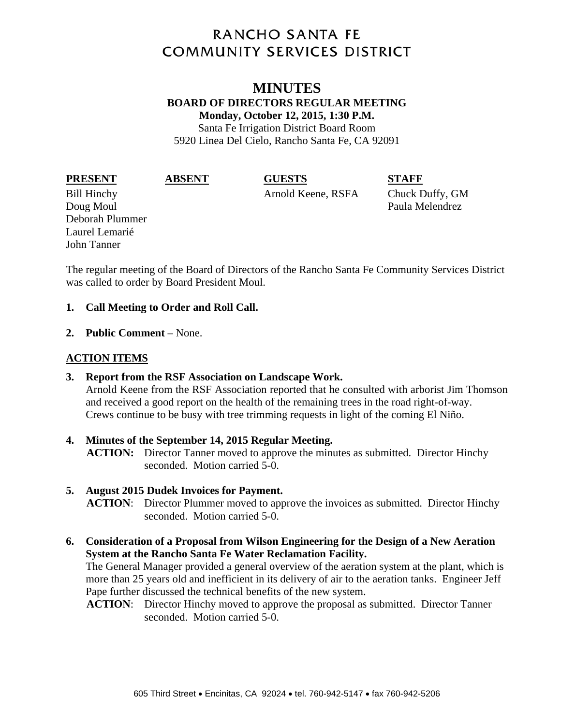# **RANCHO SANTA FE COMMUNITY SERVICES DISTRICT**

# **MINUTES BOARD OF DIRECTORS REGULAR MEETING Monday, October 12, 2015, 1:30 P.M.**  Santa Fe Irrigation District Board Room 5920 Linea Del Cielo, Rancho Santa Fe, CA 92091

**PRESENT ABSENT GUESTS STAFF** 

Bill Hinchy Arnold Keene, RSFA Chuck Duffy, GM

Doug Moul **Paula Melendrez** Deborah Plummer Laurel Lemarié John Tanner

The regular meeting of the Board of Directors of the Rancho Santa Fe Community Services District was called to order by Board President Moul.

## **1. Call Meeting to Order and Roll Call.**

**2. Public Comment** – None.

# **ACTION ITEMS**

**3. Report from the RSF Association on Landscape Work.** 

Arnold Keene from the RSF Association reported that he consulted with arborist Jim Thomson and received a good report on the health of the remaining trees in the road right-of-way. Crews continue to be busy with tree trimming requests in light of the coming El Niño.

**4. Minutes of the September 14, 2015 Regular Meeting. ACTION:** Director Tanner moved to approve the minutes as submitted. Director Hinchy seconded. Motion carried 5-0.

# **5. August 2015 Dudek Invoices for Payment.**

**ACTION**: Director Plummer moved to approve the invoices as submitted. Director Hinchy seconded. Motion carried 5-0.

**6. Consideration of a Proposal from Wilson Engineering for the Design of a New Aeration System at the Rancho Santa Fe Water Reclamation Facility.** 

The General Manager provided a general overview of the aeration system at the plant, which is more than 25 years old and inefficient in its delivery of air to the aeration tanks. Engineer Jeff Pape further discussed the technical benefits of the new system.

**ACTION**: Director Hinchy moved to approve the proposal as submitted. Director Tanner seconded. Motion carried 5-0.